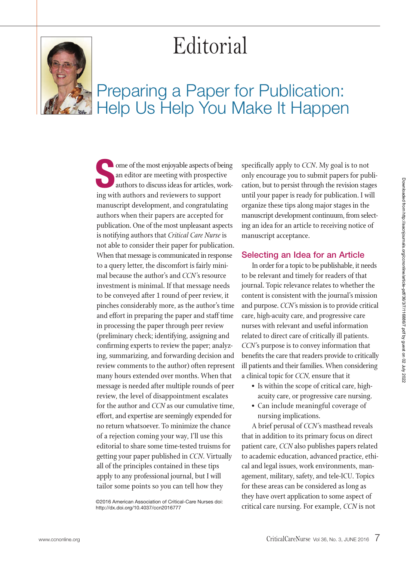# Editorial



# Preparing a Paper for Publication: Help Us Help You Make It Happen

**Some of the most enjoyable aspects of being**<br>
an editor are meeting with prospective<br>
authors to discuss ideas for articles, work-<br>
ing with authors and reviewers to support<br>
manuscript development, and congratulating<br>
au an editor are meeting with prospective authors to discuss ideas for articles, working with authors and reviewers to support manuscript development, and congratulating publication. One of the most unpleasant aspects is notifying authors that *Critical Care Nurse* is not able to consider their paper for publication. When that message is communicated in response to a query letter, the discomfort is fairly minimal because the author's and *CCN'*s resource investment is minimal. If that message needs to be conveyed after 1 round of peer review, it pinches considerably more, as the author's time and effort in preparing the paper and staff time in processing the paper through peer review (preliminary check; identifying, assigning and confirming experts to review the paper; analyzing, summarizing, and forwarding decision and review comments to the author) often represent many hours extended over months. When that message is needed after multiple rounds of peer review, the level of disappointment escalates for the author and *CCN* as our cumulative time, effort, and expertise are seemingly expended for no return whatsoever. To minimize the chance of a rejection coming your way, I'll use this editorial to share some time-tested truisms for getting your paper published in *CCN*. Virtually all of the principles contained in these tips apply to any professional journal, but I will tailor some points so you can tell how they

©2016 American Association of Critical-Care Nurses doi: http://dx.doi.org/10.4037/ccn2016777

specifically apply to *CCN*. My goal is to not only encourage you to submit papers for publication, but to persist through the revision stages until your paper is ready for publication. I will organize these tips along major stages in the manuscript development continuum, from selecting an idea for an article to receiving notice of manuscript acceptance.

#### **Selecting an Idea for an Article**

In order for a topic to be publishable, it needs to be relevant and timely for readers of that journal. Topic relevance relates to whether the content is consistent with the journal's mission and purpose. *CCN'*s mission is to provide critical care, high-acuity care, and progressive care nurses with relevant and useful information related to direct care of critically ill patients. *CCN'*s purpose is to convey information that benefits the care that readers provide to critically ill patients and their families. When considering a clinical topic for *CCN,* ensure that it

- Is within the scope of critical care, highacuity care, or progressive care nursing.
- Can include meaningful coverage of nursing implications.

A brief perusal of *CCN'*s masthead reveals that in addition to its primary focus on direct patient care, *CCN* also publishes papers related to academic education, advanced practice, ethical and legal issues, work environments, management, military, safety, and tele-ICU. Topics for these areas can be considered as long as they have overt application to some aspect of critical care nursing. For example, *CCN* is not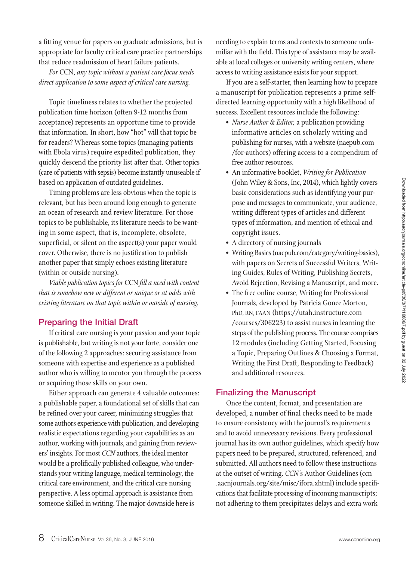a fitting venue for papers on graduate admissions, but is appropriate for faculty critical care practice partnerships that reduce readmission of heart failure patients.

*For* CCN, *any topic without a patient care focus needs direct application to some aspect of critical care nursing.*

Topic timeliness relates to whether the projected publication time horizon (often 9-12 months from acceptance) represents an opportune time to provide that information. In short, how "hot" will that topic be for readers? Whereas some topics (managing patients with Ebola virus) require expedited publication, they quickly descend the priority list after that. Other topics (care of patients with sepsis) become instantly unuseable if based on application of outdated guidelines.

Timing problems are less obvious when the topic is relevant, but has been around long enough to generate an ocean of research and review literature. For those topics to be publishable, its literature needs to be wanting in some aspect, that is, incomplete, obsolete, superficial, or silent on the aspect(s) your paper would cover. Otherwise, there is no justification to publish another paper that simply echoes existing literature (within or outside nursing).

*Viable publication topics for* CCN *fill a need with content that is somehow new or different or unique or at odds with existing literature on that topic within or outside of nursing.*

### **Preparing the Initial Draft**

If critical care nursing is your passion and your topic is publishable, but writing is not your forte, consider one of the following 2 approaches: securing assistance from someone with expertise and experience as a published author who is willing to mentor you through the process or acquiring those skills on your own.

Either approach can generate 4 valuable outcomes: a publishable paper, a foundational set of skills that can be refined over your career, minimizing struggles that some authors experience with publication, and developing realistic expectations regarding your capabilities as an author, working with journals, and gaining from reviewers' insights. For most *CCN* authors, the ideal mentor would be a prolifically published colleague, who understands your writing language, medical terminology, the critical care environment, and the critical care nursing perspective. A less optimal approach is assistance from someone skilled in writing. The major downside here is

needing to explain terms and contexts to someone unfamiliar with the field. This type of assistance may be available at local colleges or university writing centers, where access to writing assistance exists for your support.

If you are a self-starter, then learning how to prepare a manuscript for publication represents a prime selfdirected learning opportunity with a high likelihood of success. Excellent resources include the following:

- *Nurse Author & Editor,* a publication providing informative articles on scholarly writing and publishing for nurses, with a website (naepub.com /for-authors) offering access to a compendium of free author resources.
- An informative booklet, *Writing for Publication* (John Wiley & Sons, Inc, 2014), which lightly covers basic considerations such as identifying your purpose and messages to communicate, your audience, writing different types of articles and different types of information, and mention of ethical and copyright issues.
- A directory of nursing journals
- Writing Basics (naepub.com/category/writing-basics), with papers on Secrets of Successful Writers, Writing Guides, Rules of Writing, Publishing Secrets, Avoid Rejection, Revising a Manuscript, and more.
- The free online course, Writing for Professional Journals, developed by Patricia Gonce Morton, PhD, RN, FAAN (https://utah.instructure.com /courses/306223) to assist nurses in learning the steps of the publishing process. The course comprises 12 modules (including Getting Started, Focusing a Topic, Preparing Outlines & Choosing a Format, Writing the First Draft, Responding to Feedback) and additional resources.

#### **Finalizing the Manuscript**

Once the content, format, and presentation are developed, a number of final checks need to be made to ensure consistency with the journal's requirements and to avoid unnecessary revisions. Every professional journal has its own author guidelines, which specify how papers need to be prepared, structured, referenced, and submitted. All authors need to follow these instructions at the outset of writing. *CCN'*s Author Guidelines (ccn .aacnjournals.org/site/misc/ifora.xhtml) include specifications that facilitate processing of incoming manuscripts; not adhering to them precipitates delays and extra work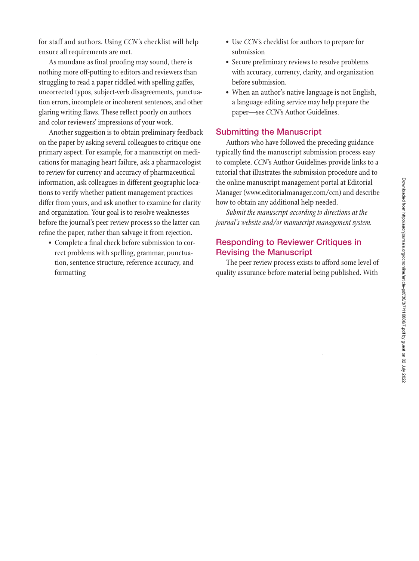for staff and authors. Using *CCN'*s checklist will help ensure all requirements are met.

As mundane as final proofing may sound, there is nothing more off-putting to editors and reviewers than struggling to read a paper riddled with spelling gaffes, uncorrected typos, subject-verb disagreements, punctuation errors, incomplete or incoherent sentences, and other glaring writing flaws. These reflect poorly on authors and color reviewers' impressions of your work.

Another suggestion is to obtain preliminary feedback on the paper by asking several colleagues to critique one primary aspect. For example, for a manuscript on medications for managing heart failure, ask a pharmacologist to review for currency and accuracy of pharmaceutical information, ask colleagues in different geographic locations to verify whether patient management practices differ from yours, and ask another to examine for clarity and organization. Your goal is to resolve weaknesses before the journal's peer review process so the latter can refine the paper, rather than salvage it from rejection.

• Complete a final check before submission to correct problems with spelling, grammar, punctuation, sentence structure, reference accuracy, and formatting

- Use *CCN'*s checklist for authors to prepare for submission
- Secure preliminary reviews to resolve problems with accuracy, currency, clarity, and organization before submission.
- When an author's native language is not English, a language editing service may help prepare the paper—see *CCN'*s Author Guidelines.

#### **Submitting the Manuscript**

Authors who have followed the preceding guidance typically find the manuscript submission process easy to complete. *CCN'*s Author Guidelines provide links to a tutorial that illustrates the submission procedure and to the online manuscript management portal at Editorial Manager (www.editorialmanager.com/ccn) and describe how to obtain any additional help needed.

*Submit the manuscript according to directions at the journal's website and/or manuscript management system.*

## **Responding to Reviewer Critiques in Revising the Manuscript**

The peer review process exists to afford some level of quality assurance before material being published. With